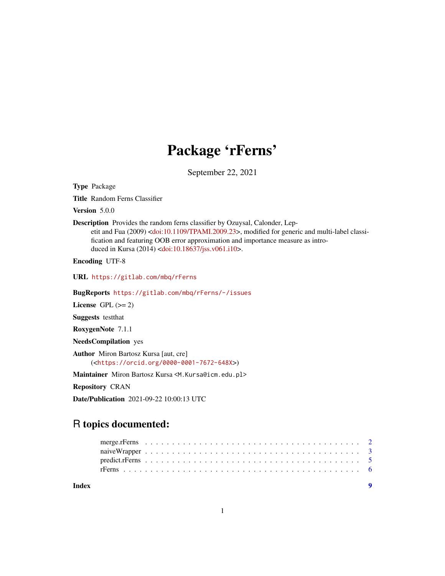## Package 'rFerns'

September 22, 2021

Type Package

Title Random Ferns Classifier

Version 5.0.0

Description Provides the random ferns classifier by Ozuysal, Calonder, Lep-

etit and Fua (2009) [<doi:10.1109/TPAMI.2009.23>](https://doi.org/10.1109/TPAMI.2009.23), modified for generic and multi-label classification and featuring OOB error approximation and importance measure as introduced in Kursa (2014) [<doi:10.18637/jss.v061.i10>](https://doi.org/10.18637/jss.v061.i10).

Encoding UTF-8

URL <https://gitlab.com/mbq/rFerns>

BugReports <https://gitlab.com/mbq/rFerns/-/issues>

License GPL  $(>= 2)$ 

Suggests testthat

RoxygenNote 7.1.1

NeedsCompilation yes

Author Miron Bartosz Kursa [aut, cre] (<<https://orcid.org/0000-0001-7672-648X>>)

Maintainer Miron Bartosz Kursa <M.Kursa@icm.edu.pl>

Repository CRAN

Date/Publication 2021-09-22 10:00:13 UTC

### R topics documented:

**Index** [9](#page-8-0)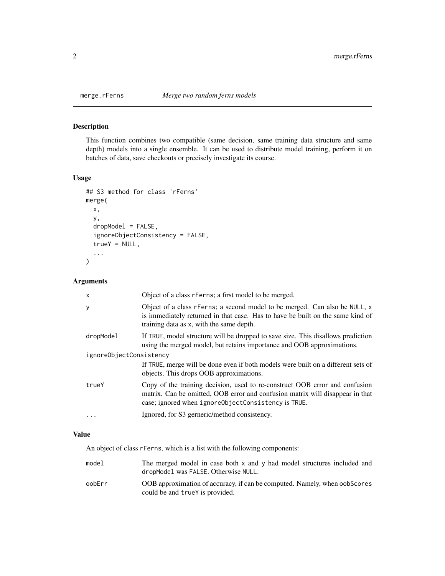<span id="page-1-0"></span>

#### Description

This function combines two compatible (same decision, same training data structure and same depth) models into a single ensemble. It can be used to distribute model training, perform it on batches of data, save checkouts or precisely investigate its course.

#### Usage

```
## S3 method for class 'rFerns'
merge(
  x,
  y,
  dropModel = FALSE,
  ignoreObjectConsistency = FALSE,
  trueY = NULL,
  ...
)
```
#### Arguments

| X                       | Object of a class r Ferns; a first model to be merged.                                                                                                                                                              |
|-------------------------|---------------------------------------------------------------------------------------------------------------------------------------------------------------------------------------------------------------------|
| У                       | Object of a class rFerns; a second model to be merged. Can also be NULL, x<br>is immediately returned in that case. Has to have be built on the same kind of<br>training data as x, with the same depth.            |
| dropModel               | If TRUE, model structure will be dropped to save size. This disallows prediction<br>using the merged model, but retains importance and OOB approximations.                                                          |
| ignoreObjectConsistency |                                                                                                                                                                                                                     |
|                         | If TRUE, merge will be done even if both models were built on a different sets of<br>objects. This drops OOB approximations.                                                                                        |
| trueY                   | Copy of the training decision, used to re-construct OOB error and confusion<br>matrix. Can be omitted, OOB error and confusion matrix will disappear in that<br>case; ignored when ignoreObjectConsistency is TRUE. |
|                         | Ignored, for S3 gerneric/method consistency.                                                                                                                                                                        |

#### Value

An object of class rFerns, which is a list with the following components:

model The merged model in case both x and y had model structures included and dropModel was FALSE. Otherwise NULL. oobErr OOB approximation of accuracy, if can be computed. Namely, when oobScores could be and trueY is provided.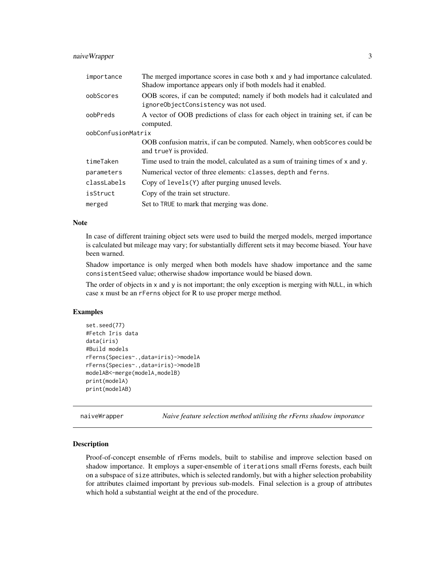#### <span id="page-2-0"></span>naiveWrapper 3

| importance         | The merged importance scores in case both x and y had importance calculated.<br>Shadow importance appears only if both models had it enabled. |
|--------------------|-----------------------------------------------------------------------------------------------------------------------------------------------|
| oobScores          | OOB scores, if can be computed; namely if both models had it calculated and<br>ignoreObjectConsistency was not used.                          |
| oobPreds           | A vector of OOB predictions of class for each object in training set, if can be<br>computed.                                                  |
| oobConfusionMatrix |                                                                                                                                               |
|                    | OOB confusion matrix, if can be computed. Namely, when oobscores could be<br>and true is provided.                                            |
| timeTaken          | Time used to train the model, calculated as a sum of training times of x and y.                                                               |
| parameters         | Numerical vector of three elements: classes, depth and ferns.                                                                                 |
| classLabels        | Copy of levels(Y) after purging unused levels.                                                                                                |
| isStruct           | Copy of the train set structure.                                                                                                              |
| merged             | Set to TRUE to mark that merging was done.                                                                                                    |

#### Note

In case of different training object sets were used to build the merged models, merged importance is calculated but mileage may vary; for substantially different sets it may become biased. Your have been warned.

Shadow importance is only merged when both models have shadow importance and the same consistentSeed value; otherwise shadow importance would be biased down.

The order of objects in x and y is not important; the only exception is merging with NULL, in which case x must be an rFerns object for R to use proper merge method.

#### Examples

```
set.seed(77)
#Fetch Iris data
data(iris)
#Build models
rFerns(Species~.,data=iris)->modelA
rFerns(Species~.,data=iris)->modelB
modelAB<-merge(modelA,modelB)
print(modelA)
print(modelAB)
```
naiveWrapper *Naive feature selection method utilising the rFerns shadow imporance*

#### Description

Proof-of-concept ensemble of rFerns models, built to stabilise and improve selection based on shadow importance. It employs a super-ensemble of iterations small rFerns forests, each built on a subspace of size attributes, which is selected randomly, but with a higher selection probability for attributes claimed important by previous sub-models. Final selection is a group of attributes which hold a substantial weight at the end of the procedure.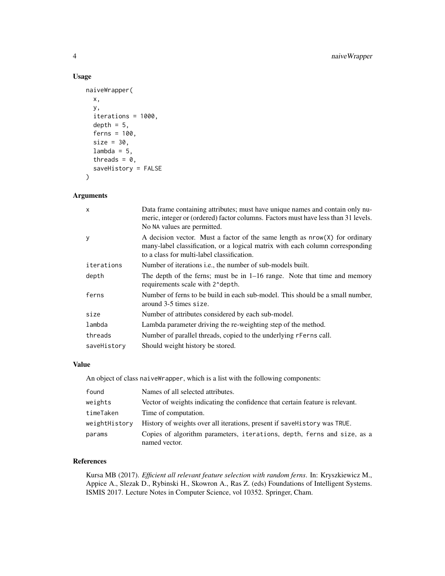#### Usage

```
naiveWrapper(
 x,
 y,
  iterations = 1000,
  depth = 5,
  ferns = 100,
  size = 30,
  lambda = 5,
  threads = 0,
  saveHistory = FALSE
)
```
#### Arguments

| $\mathsf{x}$ | Data frame containing attributes; must have unique names and contain only nu-<br>meric, integer or (ordered) factor columns. Factors must have less than 31 levels.<br>No NA values are permitted.           |
|--------------|--------------------------------------------------------------------------------------------------------------------------------------------------------------------------------------------------------------|
| y            | A decision vector. Must a factor of the same length as $nrow(X)$ for ordinary<br>many-label classification, or a logical matrix with each column corresponding<br>to a class for multi-label classification. |
| iterations   | Number of iterations <i>i.e.</i> , the number of sub-models built.                                                                                                                                           |
| depth        | The depth of the ferns; must be in $1-16$ range. Note that time and memory<br>requirements scale with 2^depth.                                                                                               |
| ferns        | Number of ferns to be build in each sub-model. This should be a small number,<br>around 3-5 times size.                                                                                                      |
| size         | Number of attributes considered by each sub-model.                                                                                                                                                           |
| lambda       | Lambda parameter driving the re-weighting step of the method.                                                                                                                                                |
| threads      | Number of parallel threads, copied to the underlying referns call.                                                                                                                                           |
| saveHistory  | Should weight history be stored.                                                                                                                                                                             |

#### Value

An object of class naiveWrapper, which is a list with the following components:

| found         | Names of all selected attributes.                                                        |
|---------------|------------------------------------------------------------------------------------------|
| weights       | Vector of weights indicating the confidence that certain feature is relevant.            |
| timeTaken     | Time of computation.                                                                     |
| weightHistory | History of weights over all iterations, present if save History was TRUE.                |
| params        | Copies of algorithm parameters, iterations, depth, ferns and size, as a<br>named vector. |

#### References

Kursa MB (2017). *Efficient all relevant feature selection with random ferns*. In: Kryszkiewicz M., Appice A., Slezak D., Rybinski H., Skowron A., Ras Z. (eds) Foundations of Intelligent Systems. ISMIS 2017. Lecture Notes in Computer Science, vol 10352. Springer, Cham.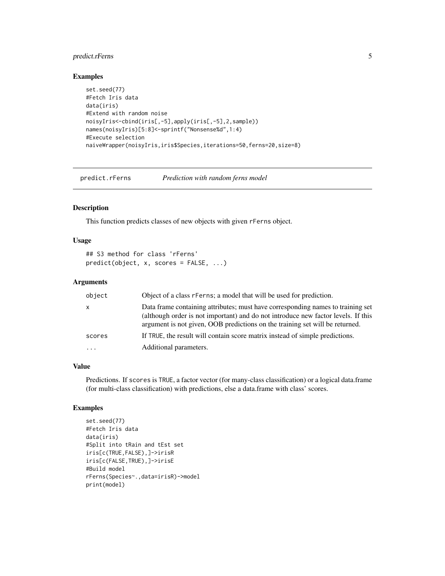#### <span id="page-4-0"></span>predict.rFerns 5

#### Examples

```
set.seed(77)
#Fetch Iris data
data(iris)
#Extend with random noise
noisyIris<-cbind(iris[,-5],apply(iris[,-5],2,sample))
names(noisyIris)[5:8]<-sprintf("Nonsense%d",1:4)
#Execute selection
naiveWrapper(noisyIris,iris$Species,iterations=50,ferns=20,size=8)
```
predict.rFerns *Prediction with random ferns model*

#### Description

This function predicts classes of new objects with given rFerns object.

#### Usage

```
## S3 method for class 'rFerns'
predict(object, x, scores = FALSE, ...)
```
#### Arguments

| object   | Object of a class r Ferns; a model that will be used for prediction.                                                                                                                                                                                 |
|----------|------------------------------------------------------------------------------------------------------------------------------------------------------------------------------------------------------------------------------------------------------|
| X        | Data frame containing attributes; must have corresponding names to training set<br>(although order is not important) and do not introduce new factor levels. If this<br>argument is not given, OOB predictions on the training set will be returned. |
| scores   | If TRUE, the result will contain score matrix instead of simple predictions.                                                                                                                                                                         |
| $\cdots$ | Additional parameters.                                                                                                                                                                                                                               |

#### Value

Predictions. If scores is TRUE, a factor vector (for many-class classification) or a logical data.frame (for multi-class classification) with predictions, else a data.frame with class' scores.

#### Examples

```
set.seed(77)
#Fetch Iris data
data(iris)
#Split into tRain and tEst set
iris[c(TRUE,FALSE),]->irisR
iris[c(FALSE,TRUE),]->irisE
#Build model
rFerns(Species~.,data=irisR)->model
print(model)
```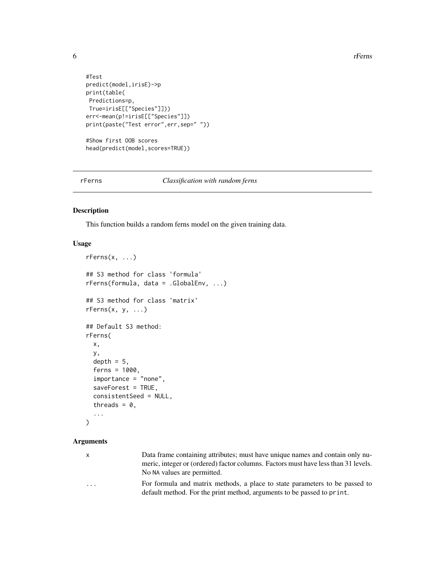6 rFerns

```
#Test
predict(model,irisE)->p
print(table(
Predictions=p,
True=irisE[["Species"]]))
err<-mean(p!=irisE[["Species"]])
print(paste("Test error",err,sep=" "))
#Show first OOB scores
head(predict(model,scores=TRUE))
```
rFerns *Classification with random ferns*

#### Description

This function builds a random ferns model on the given training data.

#### Usage

```
rFerns(x, ...)
## S3 method for class 'formula'
rFerns(formula, data = .GlobalEnv, ...)
## S3 method for class 'matrix'
rFerns(x, y, ...)
## Default S3 method:
rFerns(
 x,
  y,
  depth = 5,
  ferns = 1000,
  importance = "none",
  saveForest = TRUE,
  consistentSeed = NULL,
  threads = 0,
  ...
)
```
#### Arguments

| x                       | Data frame containing attributes; must have unique names and contain only nu-      |
|-------------------------|------------------------------------------------------------------------------------|
|                         | meric, integer or (ordered) factor columns. Factors must have less than 31 levels. |
|                         | No NA values are permitted.                                                        |
| $\cdot$ $\cdot$ $\cdot$ | For formula and matrix methods, a place to state parameters to be passed to        |
|                         | default method. For the print method, arguments to be passed to print.             |

<span id="page-5-0"></span>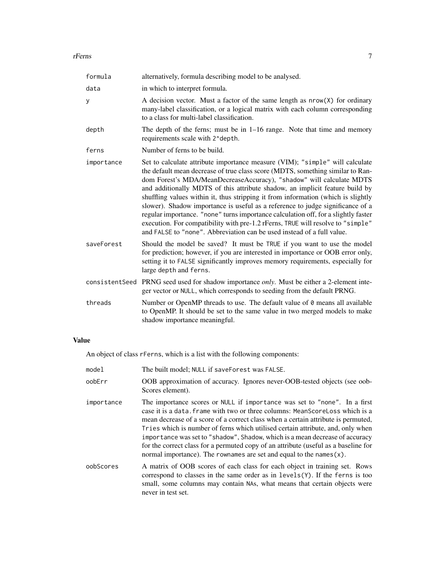#### rFerns **7**

| formula    | alternatively, formula describing model to be analysed.                                                                                                                                                                                                                                                                                                                                                                                                                                                                                                                                                                                                                                                                                          |
|------------|--------------------------------------------------------------------------------------------------------------------------------------------------------------------------------------------------------------------------------------------------------------------------------------------------------------------------------------------------------------------------------------------------------------------------------------------------------------------------------------------------------------------------------------------------------------------------------------------------------------------------------------------------------------------------------------------------------------------------------------------------|
| data       | in which to interpret formula.                                                                                                                                                                                                                                                                                                                                                                                                                                                                                                                                                                                                                                                                                                                   |
| y          | A decision vector. Must a factor of the same length as nrow(X) for ordinary<br>many-label classification, or a logical matrix with each column corresponding<br>to a class for multi-label classification.                                                                                                                                                                                                                                                                                                                                                                                                                                                                                                                                       |
| depth      | The depth of the ferns; must be in $1-16$ range. Note that time and memory<br>requirements scale with 2^depth.                                                                                                                                                                                                                                                                                                                                                                                                                                                                                                                                                                                                                                   |
| ferns      | Number of ferns to be build.                                                                                                                                                                                                                                                                                                                                                                                                                                                                                                                                                                                                                                                                                                                     |
| importance | Set to calculate attribute importance measure (VIM); "simple" will calculate<br>the default mean decrease of true class score (MDTS, something similar to Ran-<br>dom Forest's MDA/MeanDecreaseAccuracy), "shadow" will calculate MDTS<br>and additionally MDTS of this attribute shadow, an implicit feature build by<br>shuffling values within it, thus stripping it from information (which is slightly<br>slower). Shadow importance is useful as a reference to judge significance of a<br>regular importance. "none" turns importance calculation off, for a slightly faster<br>execution. For compatibility with pre-1.2 rFerns, TRUE will resolve to "simple"<br>and FALSE to "none". Abbreviation can be used instead of a full value. |
| saveForest | Should the model be saved? It must be TRUE if you want to use the model<br>for prediction; however, if you are interested in importance or OOB error only,<br>setting it to FALSE significantly improves memory requirements, especially for<br>large depth and ferns.                                                                                                                                                                                                                                                                                                                                                                                                                                                                           |
|            | consistentSeed PRNG seed used for shadow importance only. Must be either a 2-element inte-<br>ger vector or NULL, which corresponds to seeding from the default PRNG.                                                                                                                                                                                                                                                                                                                                                                                                                                                                                                                                                                            |
| threads    | Number or OpenMP threads to use. The default value of 0 means all available<br>to OpenMP. It should be set to the same value in two merged models to make<br>shadow importance meaningful.                                                                                                                                                                                                                                                                                                                                                                                                                                                                                                                                                       |

#### Value

An object of class rFerns, which is a list with the following components:

| model      | The built model; NULL if saveForest was FALSE.                                                                                                                                                                                                                                                                                                                                                                                                                                                                                                                                      |
|------------|-------------------------------------------------------------------------------------------------------------------------------------------------------------------------------------------------------------------------------------------------------------------------------------------------------------------------------------------------------------------------------------------------------------------------------------------------------------------------------------------------------------------------------------------------------------------------------------|
| oobErr     | OOB approximation of accuracy. Ignores never-OOB-tested objects (see oob-<br>Scores element).                                                                                                                                                                                                                                                                                                                                                                                                                                                                                       |
| importance | The importance scores or NULL if importance was set to "none". In a first<br>case it is a data. frame with two or three columns: MeanScoreLoss which is a<br>mean decrease of a score of a correct class when a certain attribute is permuted,<br>Tries which is number of ferns which utilised certain attribute, and, only when<br>importance was set to "shadow", Shadow, which is a mean decrease of accuracy<br>for the correct class for a permuted copy of an attribute (useful as a baseline for<br>normal importance). The rownames are set and equal to the names $(x)$ . |
| oobScores  | A matrix of OOB scores of each class for each object in training set. Rows<br>correspond to classes in the same order as in $levels(Y)$ . If the ferns is too<br>small, some columns may contain NAs, what means that certain objects were<br>never in test set.                                                                                                                                                                                                                                                                                                                    |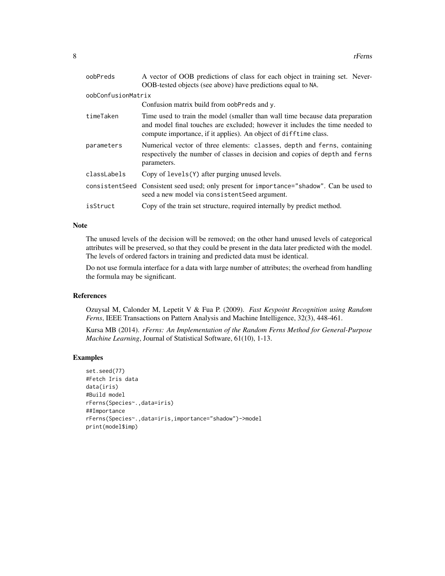| oobPreds           | A vector of OOB predictions of class for each object in training set. Never-<br>OOB-tested objects (see above) have predictions equal to NA.                                                                                      |
|--------------------|-----------------------------------------------------------------------------------------------------------------------------------------------------------------------------------------------------------------------------------|
| oobConfusionMatrix |                                                                                                                                                                                                                                   |
|                    | Confusion matrix build from oobPreds and y.                                                                                                                                                                                       |
| timeTaken          | Time used to train the model (smaller than wall time because data preparation<br>and model final touches are excluded; however it includes the time needed to<br>compute importance, if it applies). An object of difftime class. |
| parameters         | Numerical vector of three elements: classes, depth and ferns, containing<br>respectively the number of classes in decision and copies of depth and ferns<br>parameters.                                                           |
| classLabels        | Copy of levels(Y) after purging unused levels.                                                                                                                                                                                    |
|                    | consistent Seed Consistent seed used; only present for importance="shadow". Can be used to<br>seed a new model via consistent Seed argument.                                                                                      |
| isStruct           | Copy of the train set structure, required internally by predict method.                                                                                                                                                           |

#### Note

The unused levels of the decision will be removed; on the other hand unused levels of categorical attributes will be preserved, so that they could be present in the data later predicted with the model. The levels of ordered factors in training and predicted data must be identical.

Do not use formula interface for a data with large number of attributes; the overhead from handling the formula may be significant.

#### References

Ozuysal M, Calonder M, Lepetit V & Fua P. (2009). *Fast Keypoint Recognition using Random Ferns*, IEEE Transactions on Pattern Analysis and Machine Intelligence, 32(3), 448-461.

Kursa MB (2014). *rFerns: An Implementation of the Random Ferns Method for General-Purpose Machine Learning*, Journal of Statistical Software, 61(10), 1-13.

#### Examples

```
set.seed(77)
#Fetch Iris data
data(iris)
#Build model
rFerns(Species~.,data=iris)
##Importance
rFerns(Species~.,data=iris,importance="shadow")->model
print(model$imp)
```